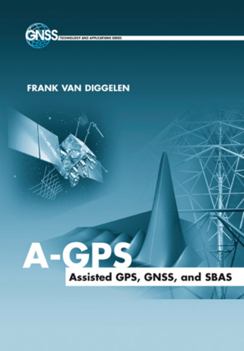

## **FRANK VAN DIGGELEN**

## **GPS**  $\mathbf{v}$ Assisted GPS, GNSS, and SBAS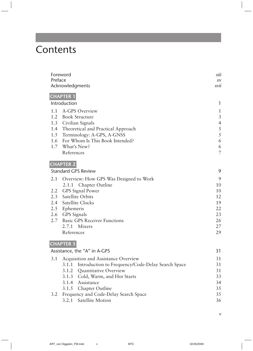## **Contents**

|         | Foreword                                                   | xiii           |
|---------|------------------------------------------------------------|----------------|
| Preface |                                                            |                |
|         | Acknowledgments                                            | xvii           |
|         | <b>CHAPTER 1</b>                                           |                |
|         | Introduction                                               | 1              |
| 1.1     | A-GPS Overview                                             | 1              |
| 1.2     | <b>Book Structure</b>                                      | $\mathfrak{Z}$ |
| 1.3     | Civilian Signals                                           | $\overline{4}$ |
| 1.4     | Theoretical and Practical Approach                         | $\sqrt{5}$     |
| 1.5     | Terminology: A-GPS, A-GNSS                                 | $\sqrt{5}$     |
| 1.6     | For Whom Is This Book Intended?                            | 6              |
| 1.7     | What's New?                                                | 6              |
|         | References                                                 | $\overline{7}$ |
|         | <b>CHAPTER 2</b>                                           |                |
|         | <b>Standard GPS Review</b>                                 | 9              |
| 2.1     | Overview: How GPS Was Designed to Work                     | 9              |
|         | 2.1.1<br>Chapter Outline                                   | 10             |
| 2.2     | <b>GPS</b> Signal Power                                    | 10             |
| 2.3     | Satellite Orbits                                           | 12             |
| 2.4     | Satellite Clocks                                           | 19             |
| 2.5     | Ephemeris                                                  | 22             |
| 2.6     | <b>GPS</b> Signals                                         | 23             |
| 2.7     | <b>Basic GPS Receiver Functions</b>                        | 26             |
|         | 2.7.1<br>Mixers                                            | 27             |
|         | References                                                 | 29             |
|         | <b>CHAPTER 3</b>                                           |                |
|         | Assistance, the "A" in A-GPS                               | 31             |
| 3.1     | Acquisition and Assistance Overview                        | 31             |
|         | Introduction to Frequency/Code-Delay Search Space<br>3.1.1 | 31             |
|         | 3.1.2<br>Quantitative Overview                             | 31             |
|         | 3.1.3<br>Cold, Warm, and Hot Starts                        | 33             |
|         | 3.1.4<br>Assistance                                        | 34             |
|         | 3.1.5<br>Chapter Outline                                   | 35             |
| 3.2     | Frequency and Code-Delay Search Space                      | 35             |
|         | 3.2.1<br>Satellite Motion                                  | 36             |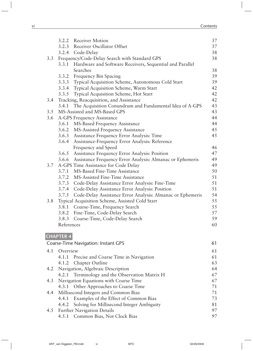|     | 3.2.2            | Receiver Motion                                                 | 37 |
|-----|------------------|-----------------------------------------------------------------|----|
|     |                  | 3.2.3 Receiver Oscillator Offset                                | 37 |
|     |                  | 3.2.4 Code-Delay                                                | 38 |
| 3.3 |                  | Frequency/Code-Delay Search with Standard GPS                   | 38 |
|     | 3.3.1            | Hardware and Software Receivers, Sequential and Parallel        |    |
|     |                  | Searches                                                        | 38 |
|     |                  | 3.3.2 Frequency Bin Spacing                                     | 39 |
|     |                  | 3.3.3 Typical Acquisition Scheme, Autonomous Cold Start         | 39 |
|     |                  | 3.3.4 Typical Acquisition Scheme, Warm Start                    | 42 |
|     | 3.3.5            | Typical Acquisition Scheme, Hot Start                           | 42 |
| 3.4 |                  | Tracking, Reacquisition, and Assistance                         | 42 |
|     | 3.4.1            | The Acquisition Conundrum and Fundamental Idea of A-GPS         | 43 |
| 3.5 |                  | MS-Assisted and MS-Based GPS                                    | 43 |
| 3.6 |                  | A-GPS Frequency Assistance                                      | 44 |
|     | 3.6.1            | MS-Based Frequency Assistance                                   | 44 |
|     | 3.6.2            | MS-Assisted Frequency Assistance                                | 45 |
|     |                  | 3.6.3 Assistance Frequency Error Analysis: Time                 | 45 |
|     | 3.6.4            | Assistance-Frequency Error Analysis: Reference                  |    |
|     |                  | Frequency and Speed                                             | 46 |
|     |                  | 3.6.5 Assistance Frequency Error Analysis: Position             | 47 |
|     |                  | 3.6.6 Assistance Frequency Error Analysis: Almanac or Ephemeris | 49 |
| 3.7 |                  | A-GPS Time Assistance for Code Delay                            | 49 |
|     | 3.7.1            | MS-Based Fine-Time Assistance                                   | 50 |
|     |                  | 3.7.2 MS-Assisted Fine-Time Assistance                          | 51 |
|     | 3.7.3            | Code-Delay Assistance Error Analysis: Fine-Time                 | 51 |
|     | 3.7.4            | Code-Delay Assistance Error Analysis: Position                  | 51 |
|     | 3.7.5            | Code-Delay Assistance Error Analysis: Almanac or Ephemeris      | 54 |
| 3.8 |                  | Typical Acquisition Scheme, Assisted Cold Start                 | 55 |
|     | 3.8.1            | Coarse-Time, Frequency Search                                   | 55 |
|     |                  | 3.8.2 Fine-Time, Code-Delay Search                              | 57 |
|     | 3.8.3            | Coarse-Time, Code-Delay Search                                  | 59 |
|     | References       |                                                                 | 60 |
|     |                  |                                                                 |    |
|     | <b>CHAPTER 4</b> |                                                                 |    |
|     |                  | <b>Coarse-Time Navigation: Instant GPS</b>                      | 61 |
|     |                  |                                                                 |    |
| 4.1 | Overview         |                                                                 | 61 |
|     | 4.1.1            | Precise and Coarse Time in Navigation                           | 61 |
|     | 4.1.2            | Chapter Outline                                                 | 63 |
| 4.2 |                  | Navigation, Algebraic Description                               | 64 |
|     | 4.2.1            | Terminology and the Observation Matrix H                        | 67 |
| 4.3 |                  | Navigation Equations with Coarse Time                           | 67 |
|     | 4.3.1            | Other Approaches to Coarse Time                                 | 71 |
| 4.4 |                  | Millisecond Integers and Common Bias                            | 71 |
|     | 4.4.1            | Examples of the Effect of Common Bias                           | 73 |
|     | 4.4.2            | Solving for Millisecond Integer Ambiguity                       | 81 |
| 4.5 |                  | <b>Further Navigation Details</b>                               | 97 |
|     | 4.5.1            | Common Bias, Not Clock Bias                                     | 97 |
|     |                  |                                                                 |    |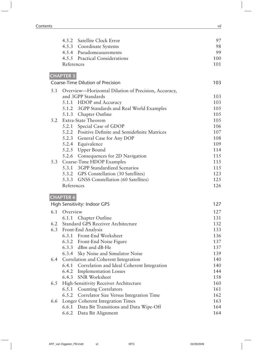|     | 4.5.2 Satellite Clock Error                                                | 97         |
|-----|----------------------------------------------------------------------------|------------|
|     | 4.5.3 Coordinate Systems                                                   | 98         |
|     | 4.5.4 Pseudomeasurements                                                   | 99         |
|     | 4.5.5 Practical Considerations                                             | 100        |
|     | References                                                                 | 101        |
|     | <b>CHAPTER 5</b>                                                           |            |
|     | <b>Coarse-Time Dilution of Precision</b>                                   | 103        |
|     |                                                                            |            |
| 5.1 | Overview-Horizontal Dilution of Precision, Accuracy,<br>and 3GPP Standards | 103        |
|     | 5.1.1 HDOP and Accuracy                                                    | 103        |
|     | 5.1.2 3GPP Standards and Real World Examples                               | 105        |
|     | 5.1.3 Chapter Outline                                                      | 105        |
| 5.2 | <b>Extra-State Theorem</b>                                                 | 105        |
|     | 5.2.1 Special Case of GDOP                                                 | 106        |
|     | 5.2.2 Positive Definite and Semidefinite Matrices                          | 107        |
|     | 5.2.3 General Case for Any DOP                                             | 108        |
|     | 5.2.4 Equivalence                                                          | 109        |
|     | 5.2.5 Upper Bound                                                          | 114        |
|     | 5.2.6 Consequences for 2D Navigation                                       | 115        |
| 5.3 | Coarse-Time HDOP Examples                                                  | 115        |
|     | 5.3.1 3GPP Standardized Scenarios                                          | 115        |
|     | 5.3.2 GPS Constellation (30 Satellites)                                    | 123        |
|     | 5.3.3 GNSS Constellation (60 Satellites)                                   | 125        |
|     | References                                                                 | 126        |
|     |                                                                            |            |
|     | <b>CHAPTER 6</b><br>High Sensitivity: Indoor GPS                           | 127        |
|     |                                                                            |            |
| 6.1 | Overview                                                                   | 127        |
|     | 6.1.1 Chapter Outline                                                      | 131        |
| 6.2 | <b>Standard GPS Receiver Architecture</b>                                  | 132        |
| 6.3 | Front-End Analysis                                                         | 133        |
|     | 6.3.1 Front-End Worksheet                                                  | 136        |
|     | 6.3.2 Front-End Noise Figure                                               | 137        |
|     | 6.3.3 dBm and dB-Hz                                                        | 137        |
|     | 6.3.4 Sky Noise and Simulator Noise                                        | 139        |
| 6.4 | Correlation and Coherent Integration                                       | 140        |
|     | Correlation and Ideal Coherent Integration<br>6.4.1                        | 140        |
|     | 6.4.2 Implementation Losses                                                | 144        |
|     | SNR Worksheet<br>6.4.3                                                     | 158        |
| 6.5 | High-Sensitivity Receiver Architecture                                     | 160<br>161 |
|     | 6.5.1 Counting Correlators                                                 |            |
|     | Correlator Size Versus Integration Time<br>6.5.2                           | 162        |
| 6.6 | Longer Coherent Integration Times                                          | 163<br>164 |
|     | 6.6.1 Data Bit Transitions and Data Wipe-Off<br>6.6.2 Data Bit Alignment   | 164        |
|     |                                                                            |            |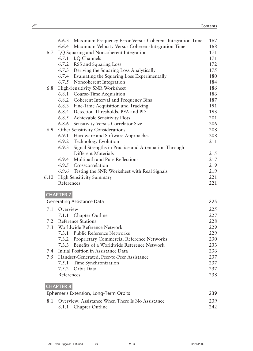|      | Maximum Frequency Error Versus Coherent-Integration Time<br>6.6.3 | 167 |
|------|-------------------------------------------------------------------|-----|
|      | Maximum Velocity Versus Coherent-Integration Time<br>6.6.4        | 168 |
| 6.7  | I, Q Squaring and Noncoherent Integration                         | 171 |
|      | 6.7.1 I,Q Channels                                                | 171 |
|      | 6.7.2 RSS and Squaring Loss                                       | 172 |
|      | 6.7.3 Deriving the Squaring Loss Analytically                     | 175 |
|      | 6.7.4 Evaluating the Squaring Loss Experimentally                 | 180 |
|      | 6.7.5 Noncoherent Integration                                     | 184 |
| 6.8  | High-Sensitivity SNR Worksheet                                    | 186 |
|      | 6.8.1 Coarse-Time Acquisition                                     | 186 |
|      | 6.8.2 Coherent Interval and Frequency Bins                        | 187 |
|      | 6.8.3 Fine-Time Acquisition and Tracking                          | 191 |
|      | 6.8.4 Detection Thresholds, PFA and PD                            | 193 |
|      | 6.8.5 Achievable Sensitivity Plots                                | 201 |
|      | 6.8.6 Sensitivity Versus Correlator Size                          | 206 |
| 6.9  | Other Sensitivity Considerations                                  | 208 |
|      | 6.9.1 Hardware and Software Approaches                            | 208 |
|      | 6.9.2 Technology Evolution                                        | 211 |
|      | 6.9.3<br>Signal Strengths in Practice and Attenuation Through     |     |
|      | Different Materials                                               | 215 |
|      | Multipath and Pure Reflections<br>6.9.4                           | 217 |
|      | 6.9.5 Crosscorrelation                                            | 219 |
|      | Testing the SNR Worksheet with Real Signals<br>6.9.6              | 219 |
| 6.10 | <b>High Sensitivity Summary</b>                                   | 221 |
|      | References                                                        | 221 |
|      | <b>CHAPTER 7</b>                                                  |     |
|      | <b>Generating Assistance Data</b>                                 | 225 |
| 7.1  | Overview                                                          | 225 |
|      | 7.1.1 Chapter Outline                                             | 227 |
| 7.2  | <b>Reference Stations</b>                                         | 228 |
| 7.3  | Worldwide Reference Network                                       | 229 |
|      | 7.3.1 Public Reference Networks                                   | 229 |
|      | 7.3.2 Proprietary Commercial Reference Networks                   | 230 |
|      | Benefits of a Worldwide Reference Network                         | 233 |
| 7.4  | Initial Position in Assistance Data                               | 236 |
| 7.5  | Handset-Generated, Peer-to-Peer Assistance                        | 237 |
|      | 7.5.1 Time Synchronization                                        | 237 |
|      | 7.5.2<br>Orbit Data                                               | 237 |
|      | References                                                        | 238 |
|      | <b>CHAPTER 8</b>                                                  |     |
|      | Ephemeris Extension, Long-Term Orbits                             | 239 |
| 8.1  | Overview: Assistance When There Is No Assistance                  | 239 |
|      | 8.1.1 Chapter Outline                                             | 242 |
|      |                                                                   |     |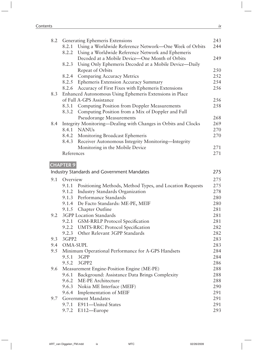| 8.2 |                  | Generating Ephemeris Extensions                                | 243 |
|-----|------------------|----------------------------------------------------------------|-----|
|     | 8.2.1            | Using a Worldwide Reference Network-One Week of Orbits         | 244 |
|     | 8.2.2            | Using a Worldwide Reference Network and Ephemeris              |     |
|     |                  | Decoded at a Mobile Device-One Month of Orbits                 | 249 |
|     | 8.2.3            | Using Only Ephemeris Decoded at a Mobile Device-Daily          |     |
|     |                  | Repeat of Orbits                                               | 250 |
|     | 8.2.4            | Comparing Accuracy Metrics                                     | 252 |
|     | 8.2.5            | Ephemeris Extension Accuracy Summary                           | 254 |
|     | 8.2.6            | Accuracy of First Fixes with Ephemeris Extensions              | 256 |
| 8.3 |                  | Enhanced Autonomous Using Ephemeris Extensions in Place        |     |
|     |                  | of Full A-GPS Assistance                                       | 256 |
|     | 8.3.1            | <b>Computing Position from Doppler Measurements</b>            | 258 |
|     | 8.3.2            | Computing Position from a Mix of Doppler and Full              |     |
|     |                  | <b>Pseudorange Measurements</b>                                | 268 |
| 8.4 |                  | Integrity Monitoring-Dealing with Changes in Orbits and Clocks | 269 |
|     | 8.4.1            | <b>NANUs</b>                                                   | 270 |
|     |                  | 8.4.2 Monitoring Broadcast Ephemeris                           | 270 |
|     |                  | 8.4.3 Receiver Autonomous Integrity Monitoring—Integrity       |     |
|     |                  | Monitoring in the Mobile Device                                | 271 |
|     | References       |                                                                | 271 |
|     |                  |                                                                |     |
|     | <b>CHAPTER 9</b> |                                                                |     |
|     |                  | <b>Industry Standards and Government Mandates</b>              | 275 |
| 9.1 | Overview         |                                                                | 275 |
|     | 9.1.1            | Positioning Methods, Method Types, and Location Requests       | 275 |
|     | 9.1.2            | <b>Industry Standards Organization</b>                         | 278 |
|     | 9.1.3            | Performance Standards                                          | 280 |
|     | 9.1.4            | De Facto Standards: ME-PE, MEIF                                | 280 |
|     |                  | 9.1.5 Chapter Outline                                          | 281 |
| 9.2 |                  | 3GPP Location Standards                                        | 281 |
|     |                  | 9.2.1 GSM-RRLP Protocol Specification                          | 281 |
|     | 9.2.2            | <b>UMTS-RRC</b> Protocol Specification                         | 282 |
|     | 9.2.3            | Other Relevant 3GPP Standards                                  | 282 |
| 9.3 | 3GPP2            |                                                                | 283 |
| 9.4 | <b>OMA-SUPL</b>  |                                                                | 283 |
| 9.5 |                  | Minimum Operational Performance for A-GPS Handsets             | 284 |
|     | 9.5.1            | 3GPP                                                           | 284 |
|     | 9.5.2            | 3GPP2                                                          | 286 |
| 9.6 |                  | Measurement Engine-Position Engine (ME-PE)                     | 288 |
|     | 9.6.1            | Background: Assistance Data Brings Complexity                  | 288 |
|     |                  | 9.6.2 ME-PE Architecture                                       | 288 |
|     |                  | 9.6.3 Nokia ME Interface (MEIF)                                | 290 |
|     | 9.6.4            |                                                                | 291 |
|     |                  | Implementation of MEIF<br><b>Government Mandates</b>           | 291 |
| 9.7 | 9.7.1            |                                                                | 291 |
|     |                  | E911-United States                                             |     |
|     |                  | 9.7.2 E112-Europe                                              | 293 |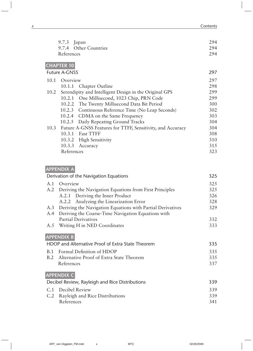| $9.7.3$ Japan         | 294 |
|-----------------------|-----|
| 9.7.4 Other Countries | 294 |
| References            | 294 |
| <b>CHAPTER 10</b>     |     |

| <b>Future A-GNSS</b> |            |                                                                 | 297 |
|----------------------|------------|-----------------------------------------------------------------|-----|
| 10.1                 | Overview   |                                                                 | 297 |
|                      |            | 10.1.1 Chapter Outline                                          | 298 |
|                      |            | 10.2 Serendipity and Intelligent Design in the Original GPS     | 299 |
|                      |            | 10.2.1 One Millisecond, 1023 Chip, PRN Code                     | 299 |
|                      | 10.2.2     | The Twenty Millisecond Data Bit Period                          | 300 |
|                      | 10.2.3     | Continuous Reference Time (No Leap Seconds)                     | 302 |
|                      |            | 10.2.4 CDMA on the Same Frequency                               | 303 |
|                      | 10.2.5     | Daily Repeating Ground Tracks                                   | 304 |
|                      |            | 10.3 Future A-GNSS Features for TTFF, Sensitivity, and Accuracy | 304 |
|                      | 10.3.1     | <b>Fast TTFF</b>                                                | 308 |
|                      | 10.3.2     | <b>High Sensitivity</b>                                         | 310 |
|                      | 10.3.3     | Accuracy                                                        | 315 |
|                      | References |                                                                 | 323 |

## **appendix a**

| 325<br>Overview<br>A.1<br>325<br>A.2 Deriving the Navigation Equations from First Principles<br>326<br>A.2.1 Deriving the Inner Product<br>Analyzing the Linearization Error<br>328<br>A.2.2<br>A.3 Deriving the Navigation Equations with Partial Derivatives<br>329<br>Deriving the Coarse-Time Navigation Equations with<br>A.4<br><b>Partial Derivatives</b><br>332<br>Writing H in NED Coordinates<br>333<br>A.5<br><b>APPENDIX B</b><br>HDOP and Alternative Proof of Extra State Theorem<br>335 | 325 |
|--------------------------------------------------------------------------------------------------------------------------------------------------------------------------------------------------------------------------------------------------------------------------------------------------------------------------------------------------------------------------------------------------------------------------------------------------------------------------------------------------------|-----|
|                                                                                                                                                                                                                                                                                                                                                                                                                                                                                                        |     |
|                                                                                                                                                                                                                                                                                                                                                                                                                                                                                                        |     |
|                                                                                                                                                                                                                                                                                                                                                                                                                                                                                                        |     |
|                                                                                                                                                                                                                                                                                                                                                                                                                                                                                                        |     |
|                                                                                                                                                                                                                                                                                                                                                                                                                                                                                                        |     |
|                                                                                                                                                                                                                                                                                                                                                                                                                                                                                                        |     |
|                                                                                                                                                                                                                                                                                                                                                                                                                                                                                                        |     |
|                                                                                                                                                                                                                                                                                                                                                                                                                                                                                                        |     |
|                                                                                                                                                                                                                                                                                                                                                                                                                                                                                                        |     |
|                                                                                                                                                                                                                                                                                                                                                                                                                                                                                                        |     |
| B.1 Formal Definition of HDOP<br>335                                                                                                                                                                                                                                                                                                                                                                                                                                                                   |     |
| B.2 Alternative Proof of Extra State Theorem<br>335                                                                                                                                                                                                                                                                                                                                                                                                                                                    |     |
| References<br>337                                                                                                                                                                                                                                                                                                                                                                                                                                                                                      |     |
| <b>APPENDIX C</b>                                                                                                                                                                                                                                                                                                                                                                                                                                                                                      |     |
| Decibel Review, Rayleigh and Rice Distributions<br>339                                                                                                                                                                                                                                                                                                                                                                                                                                                 |     |
| 339<br>C.1 Decibel Review                                                                                                                                                                                                                                                                                                                                                                                                                                                                              |     |
| 339<br>C.2 Rayleigh and Rice Distributions                                                                                                                                                                                                                                                                                                                                                                                                                                                             |     |
| References<br>341                                                                                                                                                                                                                                                                                                                                                                                                                                                                                      |     |